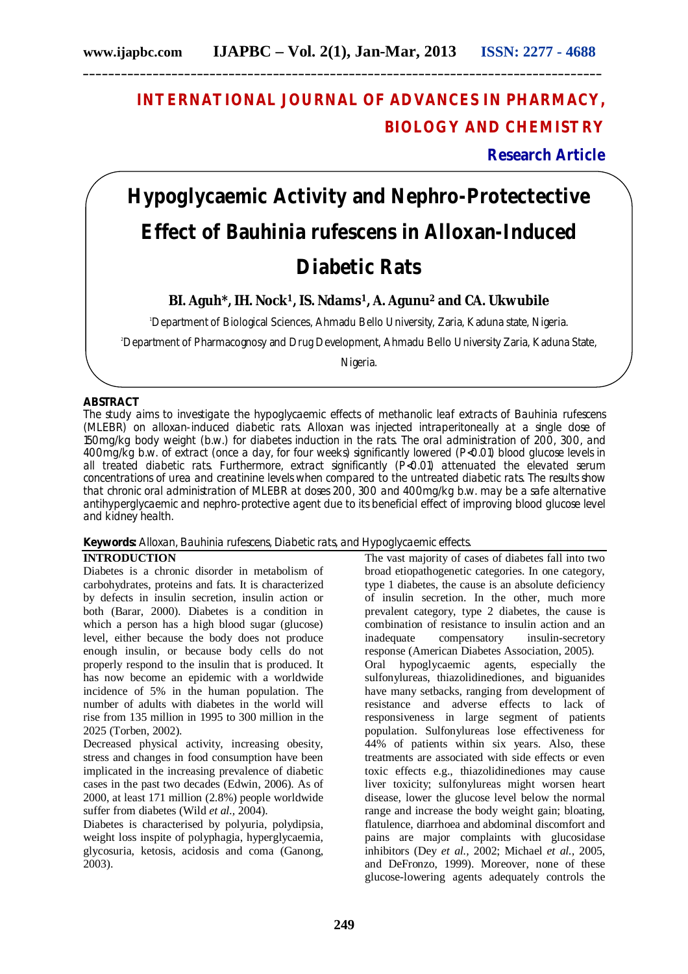## **INTERNATIONAL JOURNAL OF ADVANCES IN PHARMACY, BIOLOGY AND CHEMISTRY**

**Research Article**

# **Hypoglycaemic Activity and Nephro-Protectective Effect of** *Bauhinia rufescens* **in Alloxan-Induced Diabetic Rats**

### **BI. Aguh\*, IH. Nock1, IS. Ndams1, A. Agunu<sup>2</sup> and CA. Ukwubile**

<sup>1</sup>Department of Biological Sciences, Ahmadu Bello University, Zaria, Kaduna state, Nigeria.

<sup>2</sup>Department of Pharmacognosy and Drug Development, Ahmadu Bello University Zaria, Kaduna State,

Nigeria.

#### **ABSTRACT**

The study aims to investigate the hypoglycaemic effects of methanolic leaf extracts of *Bauhinia rufescens*  (MLEBR) on alloxan-induced diabetic rats. Alloxan was injected intraperitoneally at a single dose of 150mg/kg body weight (b.w.) for diabetes induction in the rats. The oral administration of 200, 300, and 400mg/kg b.w. of extract (once a day, for four weeks) significantly lowered (P<0.01) blood glucose levels in all treated diabetic rats. Furthermore, extract significantly (P<0.01) attenuated the elevated serum concentrations of urea and creatinine levels when compared to the untreated diabetic rats. The results show that chronic oral administration of MLEBR at doses 200, 300 and 400mg/kg b.w. may be a safe alternative antihyperglycaemic and nephro-protective agent due to its beneficial effect of improving blood glucose level and kidney health.

#### **Keywords:** Alloxan, *Bauhinia rufescens,* Diabetic rats, and Hypoglycaemic effects.

#### **INTRODUCTION**

Diabetes is a chronic disorder in metabolism of carbohydrates, proteins and fats. It is characterized by defects in insulin secretion, insulin action or both (Barar, 2000). Diabetes is a condition in which a person has a high blood sugar (glucose) level, either because the body does not produce enough insulin, or because body cells do not properly respond to the insulin that is produced. It has now become an epidemic with a worldwide incidence of 5% in the human population. The number of adults with diabetes in the world will rise from 135 million in 1995 to 300 million in the 2025 (Torben, 2002).

Decreased physical activity, increasing obesity, stress and changes in food consumption have been implicated in the increasing prevalence of diabetic cases in the past two decades (Edwin, 2006). As of 2000, at least 171 million (2.8%) people worldwide suffer from diabetes (Wild *et al.,* 2004).

Diabetes is characterised by polyuria, polydipsia, weight loss inspite of polyphagia, hyperglycaemia, glycosuria, ketosis, acidosis and coma (Ganong, 2003).

The vast majority of cases of diabetes fall into two broad etiopathogenetic categories. In one category, type 1 diabetes, the cause is an absolute deficiency of insulin secretion. In the other, much more prevalent category, type 2 diabetes, the cause is combination of resistance to insulin action and an inadequate compensatory insulin-secretory response (American Diabetes Association, 2005). Oral hypoglycaemic agents, especially the sulfonylureas, thiazolidinediones, and biguanides have many setbacks, ranging from development of resistance and adverse effects to lack of responsiveness in large segment of patients population. Sulfonylureas lose effectiveness for 44% of patients within six years. Also, these treatments are associated with side effects or even toxic effects e.g., thiazolidinediones may cause liver toxicity; sulfonylureas might worsen heart disease, lower the glucose level below the normal range and increase the body weight gain; bloating, flatulence, diarrhoea and abdominal discomfort and pains are major complaints with glucosidase inhibitors (Dey *et al.,* 2002; Michael *et al.,* 2005, and DeFronzo, 1999). Moreover, none of these glucose-lowering agents adequately controls the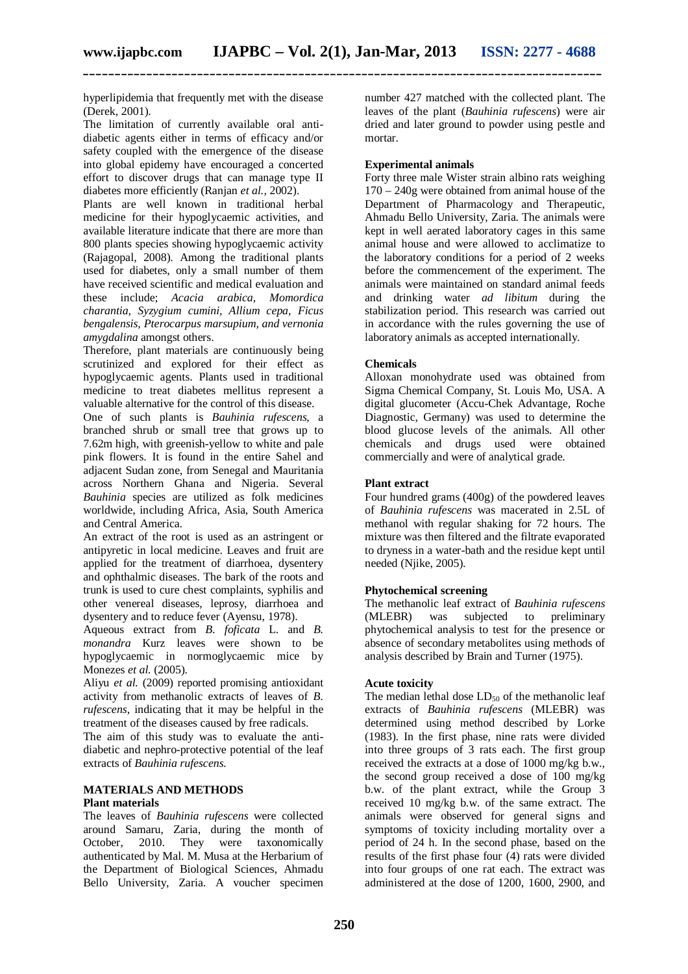hyperlipidemia that frequently met with the disease (Derek, 2001).

The limitation of currently available oral antidiabetic agents either in terms of efficacy and/or safety coupled with the emergence of the disease into global epidemy have encouraged a concerted effort to discover drugs that can manage type II diabetes more efficiently (Ranjan *et al.,* 2002).

Plants are well known in traditional herbal medicine for their hypoglycaemic activities, and available literature indicate that there are more than 800 plants species showing hypoglycaemic activity (Rajagopal, 2008). Among the traditional plants used for diabetes, only a small number of them have received scientific and medical evaluation and these include; *Acacia arabica, Momordica charantia, Syzygium cumini, Allium cepa, Ficus bengalensis, Pterocarpus marsupium, and vernonia amygdalina* amongst others.

Therefore, plant materials are continuously being scrutinized and explored for their effect as hypoglycaemic agents. Plants used in traditional medicine to treat diabetes mellitus represent a valuable alternative for the control of this disease.

One of such plants is *Bauhinia rufescens*, a branched shrub or small tree that grows up to 7.62m high, with greenish-yellow to white and pale pink flowers. It is found in the entire Sahel and adjacent Sudan zone, from Senegal and Mauritania across Northern Ghana and Nigeria. Several *Bauhinia* species are utilized as folk medicines worldwide, including Africa, Asia, South America and Central America.

An extract of the root is used as an astringent or antipyretic in local medicine. Leaves and fruit are applied for the treatment of diarrhoea, dysentery and ophthalmic diseases. The bark of the roots and trunk is used to cure chest complaints, syphilis and other venereal diseases, leprosy, diarrhoea and dysentery and to reduce fever (Ayensu, 1978).

Aqueous extract from *B. foficata* L. and *B. monandra* Kurz leaves were shown to be hypoglycaemic in normoglycaemic mice by Monezes *et al.* (2005).

Aliyu *et al.* (2009) reported promising antioxidant activity from methanolic extracts of leaves of *B. rufescens*, indicating that it may be helpful in the treatment of the diseases caused by free radicals.

The aim of this study was to evaluate the antidiabetic and nephro-protective potential of the leaf extracts of *Bauhinia rufescens.*

#### **MATERIALS AND METHODS Plant materials**

The leaves of *Bauhinia rufescens* were collected around Samaru, Zaria, during the month of October, 2010. They were taxonomically authenticated by Mal. M. Musa at the Herbarium of the Department of Biological Sciences, Ahmadu Bello University, Zaria. A voucher specimen number 427 matched with the collected plant. The leaves of the plant (*Bauhinia rufescens*) were air dried and later ground to powder using pestle and mortar.

#### **Experimental animals**

Forty three male Wister strain albino rats weighing 170 – 240g were obtained from animal house of the Department of Pharmacology and Therapeutic, Ahmadu Bello University, Zaria. The animals were kept in well aerated laboratory cages in this same animal house and were allowed to acclimatize to the laboratory conditions for a period of 2 weeks before the commencement of the experiment. The animals were maintained on standard animal feeds and drinking water *ad libitum* during the stabilization period. This research was carried out in accordance with the rules governing the use of laboratory animals as accepted internationally.

#### **Chemicals**

Alloxan monohydrate used was obtained from Sigma Chemical Company, St. Louis Mo, USA. A digital glucometer (Accu-Chek Advantage, Roche Diagnostic, Germany) was used to determine the blood glucose levels of the animals. All other chemicals and drugs used were obtained commercially and were of analytical grade.

#### **Plant extract**

Four hundred grams (400g) of the powdered leaves of *Bauhinia rufescens* was macerated in 2.5L of methanol with regular shaking for 72 hours. The mixture was then filtered and the filtrate evaporated to dryness in a water-bath and the residue kept until needed (Njike, 2005).

#### **Phytochemical screening**

The methanolic leaf extract of *Bauhinia rufescens*  (MLEBR) was subjected to preliminary phytochemical analysis to test for the presence or absence of secondary metabolites using methods of analysis described by Brain and Turner (1975).

#### **Acute toxicity**

The median lethal dose  $LD_{50}$  of the methanolic leaf extracts of *Bauhinia rufescens* (MLEBR) was determined using method described by Lorke (1983). In the first phase, nine rats were divided into three groups of 3 rats each. The first group received the extracts at a dose of 1000 mg/kg b.w., the second group received a dose of 100 mg/kg b.w. of the plant extract, while the Group 3 received 10 mg/kg b.w. of the same extract. The animals were observed for general signs and symptoms of toxicity including mortality over a period of 24 h. In the second phase, based on the results of the first phase four (4) rats were divided into four groups of one rat each. The extract was administered at the dose of 1200, 1600, 2900, and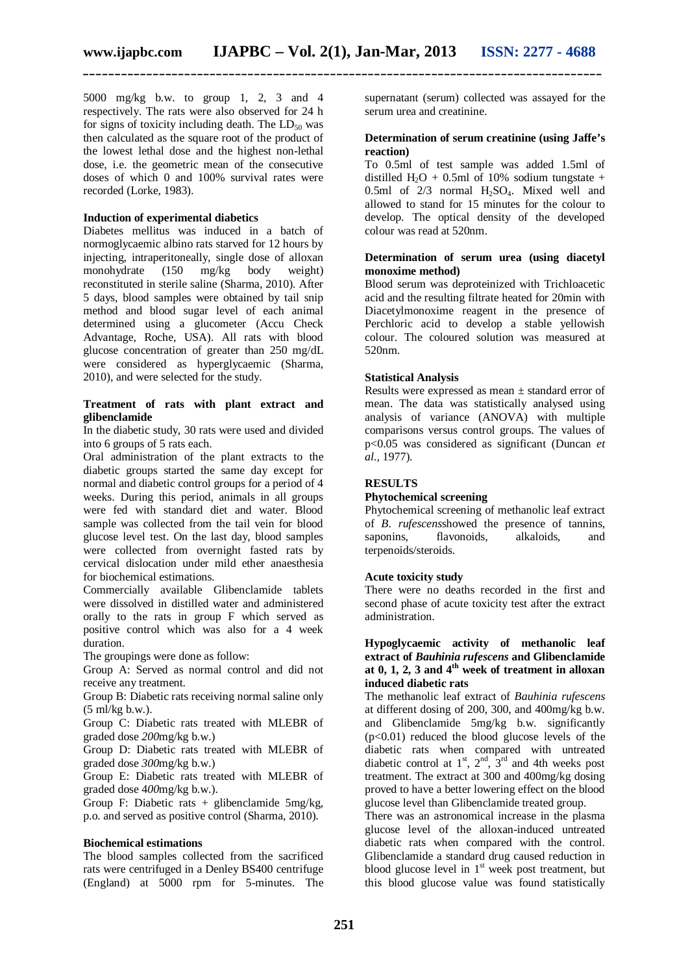5000 mg/kg b.w. to group 1, 2, 3 and 4 respectively. The rats were also observed for 24 h for signs of toxicity including death. The  $LD_{50}$  was then calculated as the square root of the product of the lowest lethal dose and the highest non-lethal dose, i.e. the geometric mean of the consecutive doses of which 0 and 100% survival rates were recorded (Lorke, 1983).

#### **Induction of experimental diabetics**

Diabetes mellitus was induced in a batch of normoglycaemic albino rats starved for 12 hours by injecting, intraperitoneally, single dose of alloxan monohydrate (150 mg/kg body weight) reconstituted in sterile saline (Sharma, 2010). After 5 days, blood samples were obtained by tail snip method and blood sugar level of each animal determined using a glucometer (Accu Check Advantage, Roche, USA). All rats with blood glucose concentration of greater than 250 mg/dL were considered as hyperglycaemic (Sharma, 2010), and were selected for the study.

#### **Treatment of rats with plant extract and glibenclamide**

In the diabetic study, 30 rats were used and divided into 6 groups of 5 rats each.

Oral administration of the plant extracts to the diabetic groups started the same day except for normal and diabetic control groups for a period of 4 weeks. During this period, animals in all groups were fed with standard diet and water. Blood sample was collected from the tail vein for blood glucose level test. On the last day, blood samples were collected from overnight fasted rats by cervical dislocation under mild ether anaesthesia for biochemical estimations.

Commercially available Glibenclamide tablets were dissolved in distilled water and administered orally to the rats in group F which served as positive control which was also for a 4 week duration.

The groupings were done as follow:

Group A: Served as normal control and did not receive any treatment.

Group B: Diabetic rats receiving normal saline only (5 ml/kg b.w.).

Group C: Diabetic rats treated with MLEBR of graded dose *200*mg/kg b.w.)

Group D: Diabetic rats treated with MLEBR of graded dose *300*mg/kg b.w.)

Group E: Diabetic rats treated with MLEBR of graded dose 4*00*mg/kg b.w.).

Group F: Diabetic rats  $+$  glibenclamide 5mg/kg, p.o. and served as positive control (Sharma, 2010).

#### **Biochemical estimations**

The blood samples collected from the sacrificed rats were centrifuged in a Denley BS400 centrifuge (England) at 5000 rpm for 5-minutes. The supernatant (serum) collected was assayed for the serum urea and creatinine.

#### **Determination of serum creatinine (using Jaffe's reaction)**

To 0.5ml of test sample was added 1.5ml of distilled H<sub>2</sub>O + 0.5ml of 10% sodium tungstate + 0.5ml of  $2/3$  normal  $H_2SO_4$ . Mixed well and allowed to stand for 15 minutes for the colour to develop. The optical density of the developed colour was read at 520nm.

#### **Determination of serum urea (using diacetyl monoxime method)**

Blood serum was deproteinized with Trichloacetic acid and the resulting filtrate heated for 20min with Diacetylmonoxime reagent in the presence of Perchloric acid to develop a stable yellowish colour. The coloured solution was measured at 520nm.

#### **Statistical Analysis**

Results were expressed as mean ± standard error of mean. The data was statistically analysed using analysis of variance (ANOVA) with multiple comparisons versus control groups. The values of p<0.05 was considered as significant (Duncan *et al.,* 1977).

#### **RESULTS**

#### **Phytochemical screening**

Phytochemical screening of methanolic leaf extract of *B*. *rufescens*showed the presence of tannins, flavonoids, terpenoids/steroids.

#### **Acute toxicity study**

There were no deaths recorded in the first and second phase of acute toxicity test after the extract administration.

#### **Hypoglycaemic activity of methanolic leaf extract of** *Bauhinia rufescens* **and Glibenclamide at 0, 1, 2, 3 and 4th week of treatment in alloxan induced diabetic rats**

The methanolic leaf extract of *Bauhinia rufescens* at different dosing of 200, 300, and 400mg/kg b.w. and Glibenclamide 5mg/kg b.w. significantly  $(p<0.01)$  reduced the blood glucose levels of the diabetic rats when compared with untreated diabetic control at  $1<sup>st</sup>$ ,  $2<sup>nd</sup>$ ,  $3<sup>rd</sup>$  and 4th weeks post treatment. The extract at 300 and 400mg/kg dosing proved to have a better lowering effect on the blood glucose level than Glibenclamide treated group.

There was an astronomical increase in the plasma glucose level of the alloxan-induced untreated diabetic rats when compared with the control. Glibenclamide a standard drug caused reduction in blood glucose level in  $1<sup>st</sup>$  week post treatment, but this blood glucose value was found statistically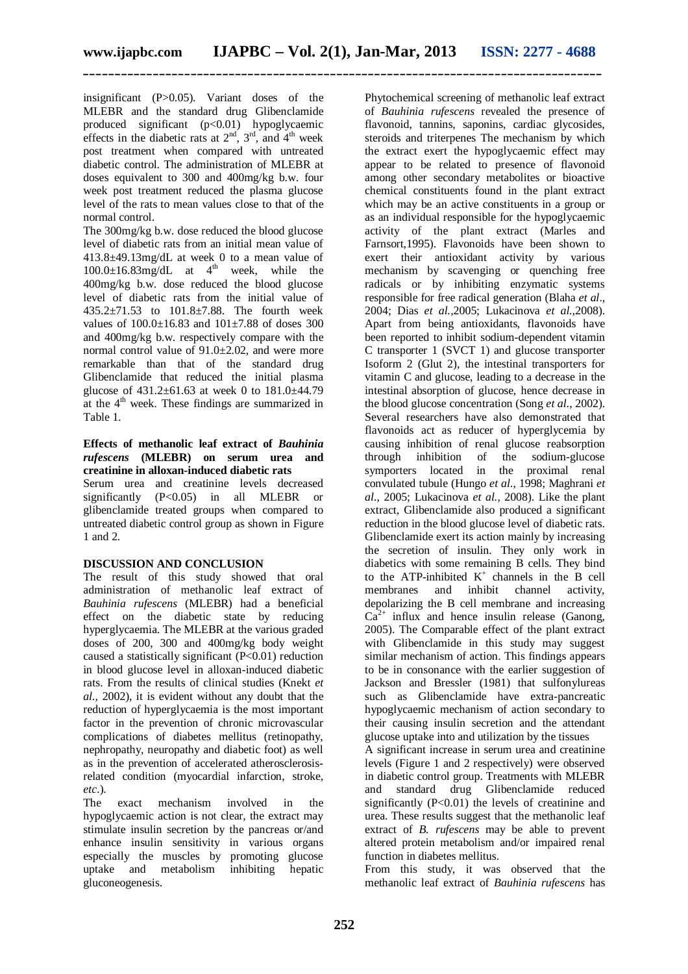insignificant (P>0.05). Variant doses of the MLEBR and the standard drug Glibenclamide produced significant (p<0.01) hypoglycaemic effects in the diabetic rats at  $2<sup>nd</sup>$ ,  $3<sup>rd</sup>$ , and  $4<sup>th</sup>$  week post treatment when compared with untreated diabetic control. The administration of MLEBR at doses equivalent to 300 and 400mg/kg b.w. four week post treatment reduced the plasma glucose level of the rats to mean values close to that of the normal control.

The 300mg/kg b.w. dose reduced the blood glucose level of diabetic rats from an initial mean value of 413.8±49.13mg/dL at week 0 to a mean value of  $100.0 \pm 16.83$ mg/dL at  $4<sup>th</sup>$  week, while the 400mg/kg b.w. dose reduced the blood glucose level of diabetic rats from the initial value of 435.2±71.53 to 101.8±7.88. The fourth week values of  $100.0 \pm 16.83$  and  $101 \pm 7.88$  of doses 300 and 400mg/kg b.w. respectively compare with the normal control value of  $91.0 \pm 2.02$ , and were more remarkable than that of the standard drug Glibenclamide that reduced the initial plasma glucose of  $431.2 \pm 61.63$  at week 0 to  $181.0 \pm 44.79$ at the 4<sup>th</sup> week. These findings are summarized in Table 1.

#### **Effects of methanolic leaf extract of** *Bauhinia rufescens* **(MLEBR) on serum urea and creatinine in alloxan-induced diabetic rats**

Serum urea and creatinine levels decreased significantly (P<0.05) in all MLEBR or glibenclamide treated groups when compared to untreated diabetic control group as shown in Figure 1 and 2.

#### **DISCUSSION AND CONCLUSION**

The result of this study showed that oral administration of methanolic leaf extract of *Bauhinia rufescens* (MLEBR) had a beneficial effect on the diabetic state by reducing hyperglycaemia. The MLEBR at the various graded doses of 200, 300 and 400mg/kg body weight caused a statistically significant (P<0.01) reduction in blood glucose level in alloxan-induced diabetic rats. From the results of clinical studies (Knekt *et al.,* 2002), it is evident without any doubt that the reduction of hyperglycaemia is the most important factor in the prevention of chronic microvascular complications of diabetes mellitus (retinopathy, nephropathy, neuropathy and diabetic foot) as well as in the prevention of accelerated atherosclerosisrelated condition (myocardial infarction, stroke, *etc*.).

The exact mechanism involved in the hypoglycaemic action is not clear, the extract may stimulate insulin secretion by the pancreas or/and enhance insulin sensitivity in various organs especially the muscles by promoting glucose uptake and metabolism inhibiting hepatic gluconeogenesis.

Phytochemical screening of methanolic leaf extract of *Bauhinia rufescens* revealed the presence of flavonoid, tannins, saponins, cardiac glycosides, steroids and triterpenes The mechanism by which the extract exert the hypoglycaemic effect may appear to be related to presence of flavonoid among other secondary metabolites or bioactive chemical constituents found in the plant extract which may be an active constituents in a group or as an individual responsible for the hypoglycaemic activity of the plant extract (Marles and Farnsort,1995). Flavonoids have been shown to exert their antioxidant activity by various mechanism by scavenging or quenching free radicals or by inhibiting enzymatic systems responsible for free radical generation (Blaha *et al*., 2004; Dias *et al.,*2005; Lukacinova *et al.*,2008). Apart from being antioxidants, flavonoids have been reported to inhibit sodium-dependent vitamin C transporter 1 (SVCT 1) and glucose transporter Isoform 2 (Glut 2), the intestinal transporters for vitamin C and glucose, leading to a decrease in the intestinal absorption of glucose, hence decrease in the blood glucose concentration (Song *et al*., 2002). Several researchers have also demonstrated that flavonoids act as reducer of hyperglycemia by causing inhibition of renal glucose reabsorption through inhibition of the sodium-glucose symporters located in the proximal renal convulated tubule (Hungo *et al*., 1998; Maghrani *et al.,* 2005; Lukacinova *et al.,* 2008). Like the plant extract, Glibenclamide also produced a significant reduction in the blood glucose level of diabetic rats. Glibenclamide exert its action mainly by increasing the secretion of insulin. They only work in diabetics with some remaining B cells. They bind to the ATP-inhibited  $K^+$  channels in the B cell membranes and inhibit channel activity, depolarizing the B cell membrane and increasing  $Ca^{2+}$  influx and hence insulin release (Ganong, 2005). The Comparable effect of the plant extract with Glibenclamide in this study may suggest similar mechanism of action. This findings appears to be in consonance with the earlier suggestion of Jackson and Bressler (1981) that sulfonylureas such as Glibenclamide have extra-pancreatic hypoglycaemic mechanism of action secondary to their causing insulin secretion and the attendant glucose uptake into and utilization by the tissues

A significant increase in serum urea and creatinine levels (Figure 1 and 2 respectively) were observed in diabetic control group. Treatments with MLEBR and standard drug Glibenclamide reduced significantly  $(P<0.01)$  the levels of creatinine and urea. These results suggest that the methanolic leaf extract of *B. rufescens* may be able to prevent altered protein metabolism and/or impaired renal function in diabetes mellitus.

From this study, it was observed that the methanolic leaf extract of *Bauhinia rufescens* has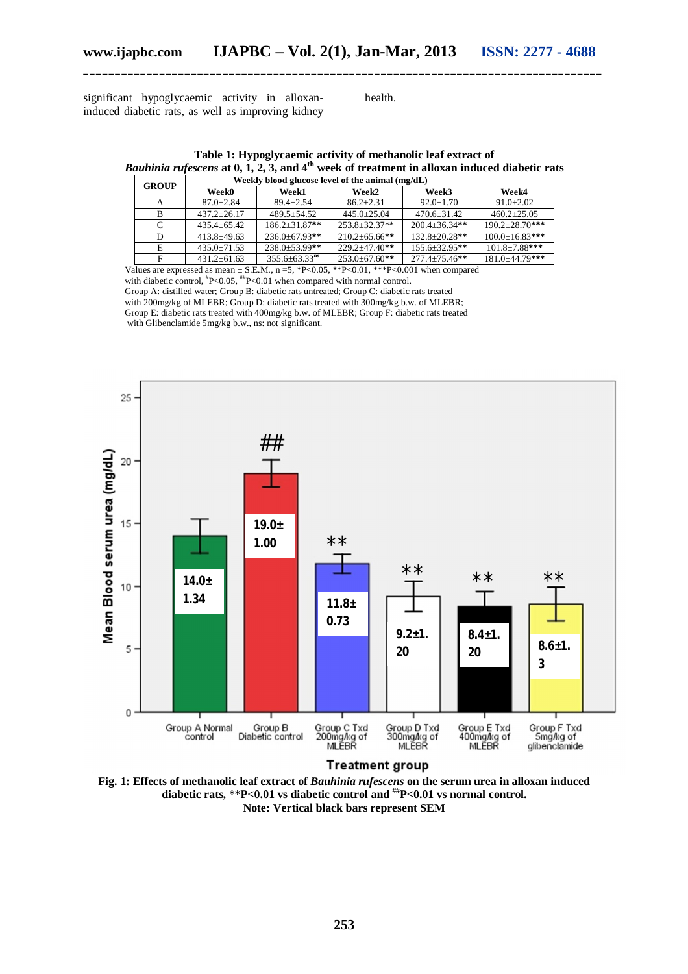significant hypoglycaemic activity in alloxaninduced diabetic rats, as well as improving kidney health.

**Table 1: Hypoglycaemic activity of methanolic leaf extract of** *Bauhinia rufescens* **at 0, 1, 2, 3, and 4th week of treatment in alloxan induced diabetic rats**

| Weekly blood glucose level of the animal (mg/dL) |                                 |                      |                     |                       |
|--------------------------------------------------|---------------------------------|----------------------|---------------------|-----------------------|
| <b>Week0</b>                                     | Week1                           | Week2                | Week3               | Week4                 |
| $87.0 + 2.84$                                    | $89.4 + 2.54$                   | $86.2 + 2.31$        | $92.0 \pm 1.70$     | $91.0 \pm 2.02$       |
| $437.2 + 26.17$                                  | $489.5 + 54.52$                 | $445.0+25.04$        | $470.6 \pm 31.42$   | $460.2+25.05$         |
| $435.4 \pm 65.42$                                | $186.2 + 31.87**$               | $253.8 + 32.37**$    | $200.4 + 36.34$ **  | $190.2 \pm 28.70$ *** |
| $413.8 + 49.63$                                  | $236.0 \pm 67.93$ **            | $210.2 \pm 65.66$ ** | $132.8 + 20.28**$   | $100.0 \pm 16.83$ *** |
| $435.0 \pm 71.53$                                | $238.0 \pm 53.99$ **            | $229.2 \pm 47.40**$  | $155.6 \pm 32.95**$ | $101.8 \pm 7.88$ ***  |
| $431.2 \pm 61.63$                                | $355.6 \pm 63.33$ <sup>ns</sup> | $253.0 \pm 67.60**$  | $277.4 \pm 75.46**$ | $181.0 \pm 44.79$ *** |
|                                                  |                                 |                      |                     |                       |

Values are expressed as mean  $\pm$  S.E.M., n =5, \*P<0.05, \*\*P<0.01, \*\*\*P<0.001 when compared with diabetic control, \*P<0.05, \*\*P<0.01 when compared with normal control.

Group A: distilled water; Group B: diabetic rats untreated; Group C: diabetic rats treated with 200mg/kg of MLEBR; Group D: diabetic rats treated with  $300$ mg/kg b.w. of MLEBR; Group E: diabetic rats treated with 400mg/kg b.w. of MLEBR; Group F: diabetic rats treated with Glibenclamide 5mg/kg b.w., ns: not significant.



**Fig. 1: Effects of methanolic leaf extract of** *Bauhinia rufescens* **on the serum urea in alloxan induced** 

**diabetic rats, \*\*P<0.01 vs diabetic control and ##P<0.01 vs normal control.**

**Note: Vertical black bars represent SEM**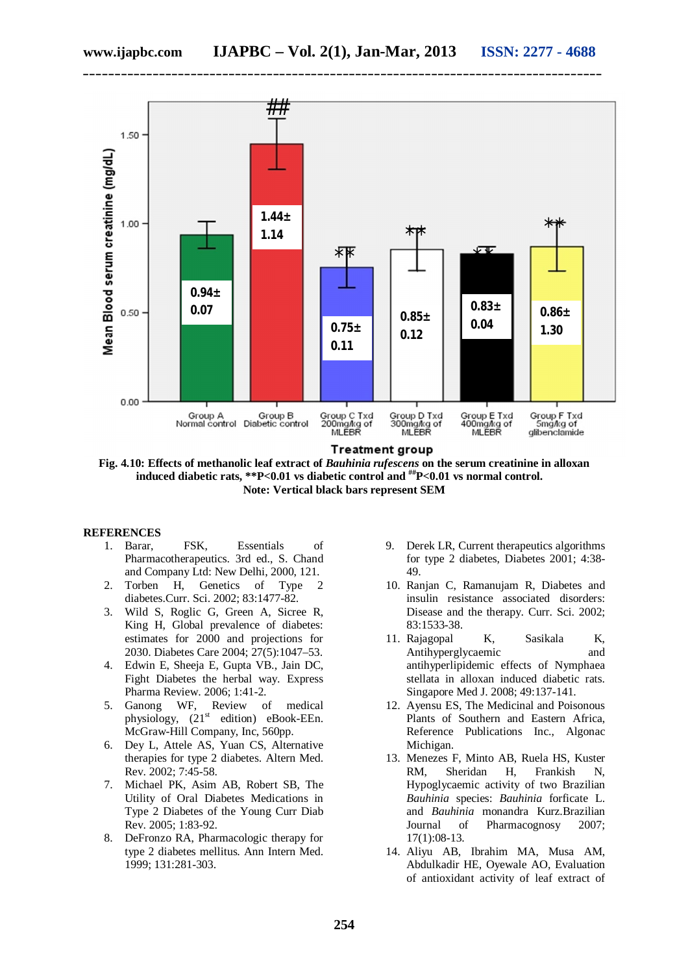**\_\_\_\_\_\_\_\_\_\_\_\_\_\_\_\_\_\_\_\_\_\_\_\_\_\_\_\_\_\_\_\_\_\_\_\_\_\_\_\_\_\_\_\_\_\_\_\_\_\_\_\_\_\_\_\_\_\_\_\_\_\_\_\_\_\_\_\_\_\_\_\_\_\_\_\_\_\_\_\_\_\_**



**Treatment group** 

**Fig. 4.10: Effects of methanolic leaf extract of** *Bauhinia rufescens* **on the serum creatinine in alloxan induced diabetic rats, \*\*P<0.01 vs diabetic control and ##P<0.01 vs normal control. Note: Vertical black bars represent SEM**

#### **REFERENCES**

- 1. Barar, FSK, Essentials of Pharmacotherapeutics. 3rd ed., S. Chand and Company Ltd: New Delhi, 2000, 121.
- 2. Torben H, Genetics of Type 2 diabetes.Curr. Sci. 2002; 83:1477-82.
- 3. Wild S, Roglic G, Green A, Sicree R, King H, Global prevalence of diabetes: estimates for 2000 and projections for 2030. Diabetes Care 2004; 27(5):1047–53.
- 4. Edwin E, Sheeja E, Gupta VB., Jain DC, Fight Diabetes the herbal way. Express Pharma Review. 2006; 1:41-2.
- 5. Ganong WF, Review of medical physiology,  $(21<sup>st</sup>$  edition) eBook-EEn. McGraw-Hill Company, Inc, 560pp.
- 6. Dey L, Attele AS, Yuan CS, Alternative therapies for type 2 diabetes. Altern Med. Rev. 2002; 7:45-58.
- 7. Michael PK, Asim AB, Robert SB, The Utility of Oral Diabetes Medications in Type 2 Diabetes of the Young Curr Diab Rev. 2005; 1:83-92.
- 8. DeFronzo RA, Pharmacologic therapy for type 2 diabetes mellitus. Ann Intern Med. 1999; 131:281-303.
- 9. Derek LR, Current therapeutics algorithms for type 2 diabetes, Diabetes 2001; 4:38- 49.
- 10. Ranjan C, Ramanujam R, Diabetes and insulin resistance associated disorders: Disease and the therapy. Curr. Sci. 2002; 83:1533-38.
- 11. Rajagopal K, Sasikala K, Antihyperglycaemic and antihyperlipidemic effects of Nymphaea stellata in alloxan induced diabetic rats. Singapore Med J. 2008; 49:137-141.
- 12. Ayensu ES, The Medicinal and Poisonous Plants of Southern and Eastern Africa, Reference Publications Inc., Algonac Michigan.
- 13. Menezes F, Minto AB, Ruela HS, Kuster RM, Sheridan H, Frankish N, Hypoglycaemic activity of two Brazilian *Bauhinia* species: *Bauhinia* forficate L. and *Bauhinia* monandra Kurz.Brazilian Journal of Pharmacognosy 2007; 17(1):08-13.
- 14. Aliyu AB, Ibrahim MA, Musa AM, Abdulkadir HE, Oyewale AO, Evaluation of antioxidant activity of leaf extract of